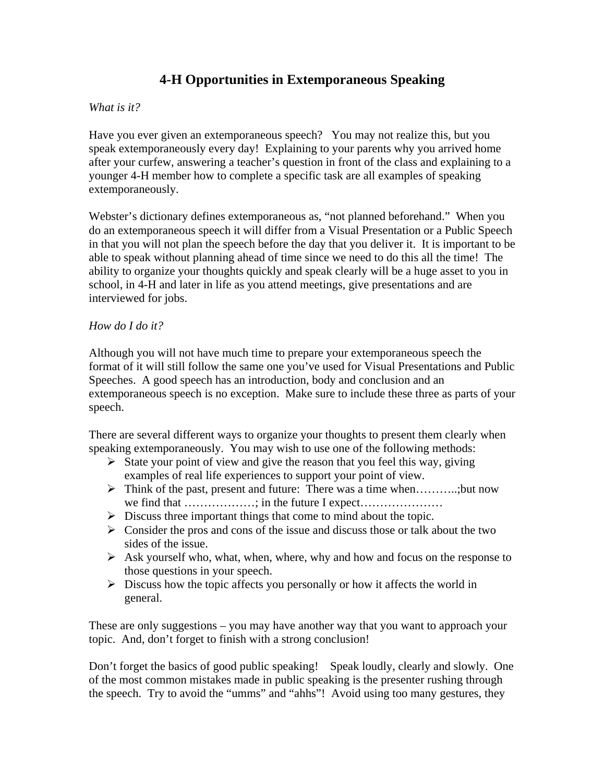# **4-H Opportunities in Extemporaneous Speaking**

## *What is it?*

Have you ever given an extemporaneous speech? You may not realize this, but you speak extemporaneously every day! Explaining to your parents why you arrived home after your curfew, answering a teacher's question in front of the class and explaining to a younger 4-H member how to complete a specific task are all examples of speaking extemporaneously.

Webster's dictionary defines extemporaneous as, "not planned beforehand." When you do an extemporaneous speech it will differ from a Visual Presentation or a Public Speech in that you will not plan the speech before the day that you deliver it. It is important to be able to speak without planning ahead of time since we need to do this all the time! The ability to organize your thoughts quickly and speak clearly will be a huge asset to you in school, in 4-H and later in life as you attend meetings, give presentations and are interviewed for jobs.

### *How do I do it?*

Although you will not have much time to prepare your extemporaneous speech the format of it will still follow the same one you've used for Visual Presentations and Public Speeches. A good speech has an introduction, body and conclusion and an extemporaneous speech is no exception. Make sure to include these three as parts of your speech.

There are several different ways to organize your thoughts to present them clearly when speaking extemporaneously. You may wish to use one of the following methods:

- $\triangleright$  State your point of view and give the reason that you feel this way, giving examples of real life experiences to support your point of view.
- $\triangleright$  Think of the past, present and future: There was a time when...........;but now we find that ………………; in the future I expect…………………
- $\triangleright$  Discuss three important things that come to mind about the topic.
- $\triangleright$  Consider the pros and cons of the issue and discuss those or talk about the two sides of the issue.
- $\triangleright$  Ask yourself who, what, when, where, why and how and focus on the response to those questions in your speech.
- $\triangleright$  Discuss how the topic affects you personally or how it affects the world in general.

These are only suggestions – you may have another way that you want to approach your topic. And, don't forget to finish with a strong conclusion!

Don't forget the basics of good public speaking! Speak loudly, clearly and slowly. One of the most common mistakes made in public speaking is the presenter rushing through the speech. Try to avoid the "umms" and "ahhs"! Avoid using too many gestures, they